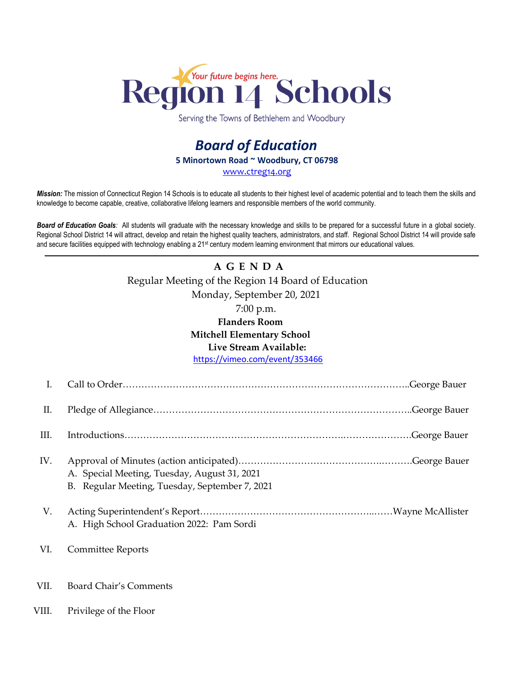

Serving the Towns of Bethlehem and Woodbury

## *Board of Education* **5 Minortown Road ~ Woodbury, CT 06798** [www.ctreg14.org](http://www.ctreg14.org/)

*Mission:* The mission of Connecticut Region 14 Schools is to educate all students to their highest level of academic potential and to teach them the skills and knowledge to become capable, creative, collaborative lifelong learners and responsible members of the world community.

*Board of Education Goals:* All students will graduate with the necessary knowledge and skills to be prepared for a successful future in a global society. Regional School District 14 will attract, develop and retain the highest quality teachers, administrators, and staff. Regional School District 14 will provide safe and secure facilities equipped with technology enabling a 21<sup>st</sup> century modern learning environment that mirrors our educational values.

## **A G E N D A** Regular Meeting of the Region 14 Board of Education Monday, September 20, 2021 7:00 p.m. **Flanders Room Mitchell Elementary School Live Stream Available:** <https://vimeo.com/event/353466>

| I.    |                                                                                                |
|-------|------------------------------------------------------------------------------------------------|
| П.    |                                                                                                |
| III.  |                                                                                                |
| IV.   | A. Special Meeting, Tuesday, August 31, 2021<br>B. Regular Meeting, Tuesday, September 7, 2021 |
| V.    | A. High School Graduation 2022: Pam Sordi                                                      |
| VI.   | <b>Committee Reports</b>                                                                       |
| VII.  | Board Chair's Comments                                                                         |
| VIII. | Privilege of the Floor                                                                         |